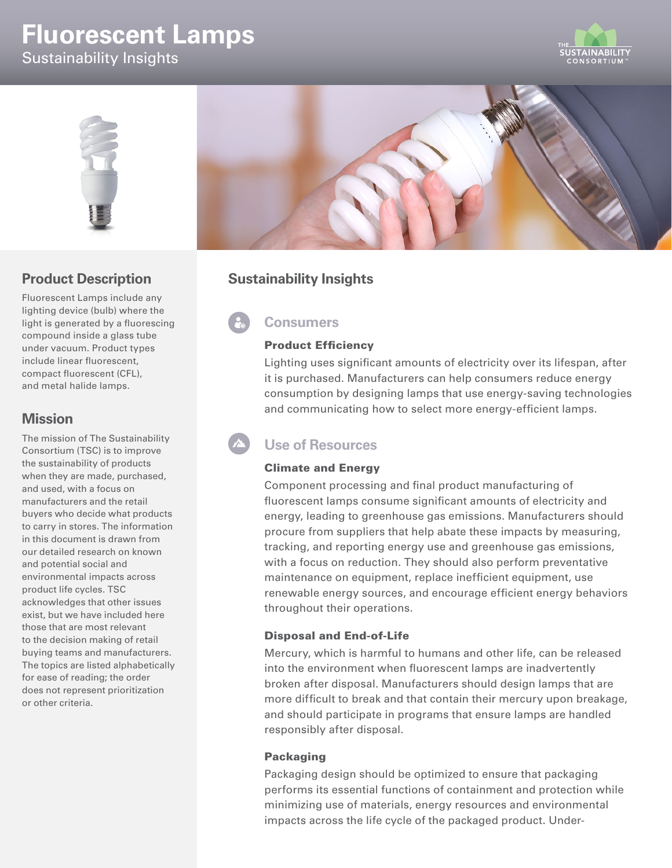# **Fluorescent Lamps** Sustainability Insights





## **Product Description**

Fluorescent Lamps include any lighting device (bulb) where the light is generated by a fluorescing compound inside a glass tube under vacuum. Product types include linear fluorescent, compact fluorescent (CFL), and metal halide lamps.

## **Mission**

The mission of The Sustainability Consortium (TSC) is to improve the sustainability of products when they are made, purchased, and used, with a focus on manufacturers and the retail buyers who decide what products to carry in stores. The information in this document is drawn from our detailed research on known and potential social and environmental impacts across product life cycles. TSC acknowledges that other issues exist, but we have included here those that are most relevant to the decision making of retail buying teams and manufacturers. The topics are listed alphabetically for ease of reading; the order does not represent prioritization or other criteria.



## **Sustainability Insights**

## **Consumers**

#### Product Efficiency

Lighting uses significant amounts of electricity over its lifespan, after it is purchased. Manufacturers can help consumers reduce energy consumption by designing lamps that use energy-saving technologies and communicating how to select more energy-efficient lamps.

## **Use of Resources**

#### Climate and Energy

Component processing and final product manufacturing of fluorescent lamps consume significant amounts of electricity and energy, leading to greenhouse gas emissions. Manufacturers should procure from suppliers that help abate these impacts by measuring, tracking, and reporting energy use and greenhouse gas emissions, with a focus on reduction. They should also perform preventative maintenance on equipment, replace inefficient equipment, use renewable energy sources, and encourage efficient energy behaviors throughout their operations.

#### Disposal and End-of-Life

Mercury, which is harmful to humans and other life, can be released into the environment when fluorescent lamps are inadvertently broken after disposal. Manufacturers should design lamps that are more difficult to break and that contain their mercury upon breakage, and should participate in programs that ensure lamps are handled responsibly after disposal.

#### Packaging

Packaging design should be optimized to ensure that packaging performs its essential functions of containment and protection while minimizing use of materials, energy resources and environmental impacts across the life cycle of the packaged product. Under